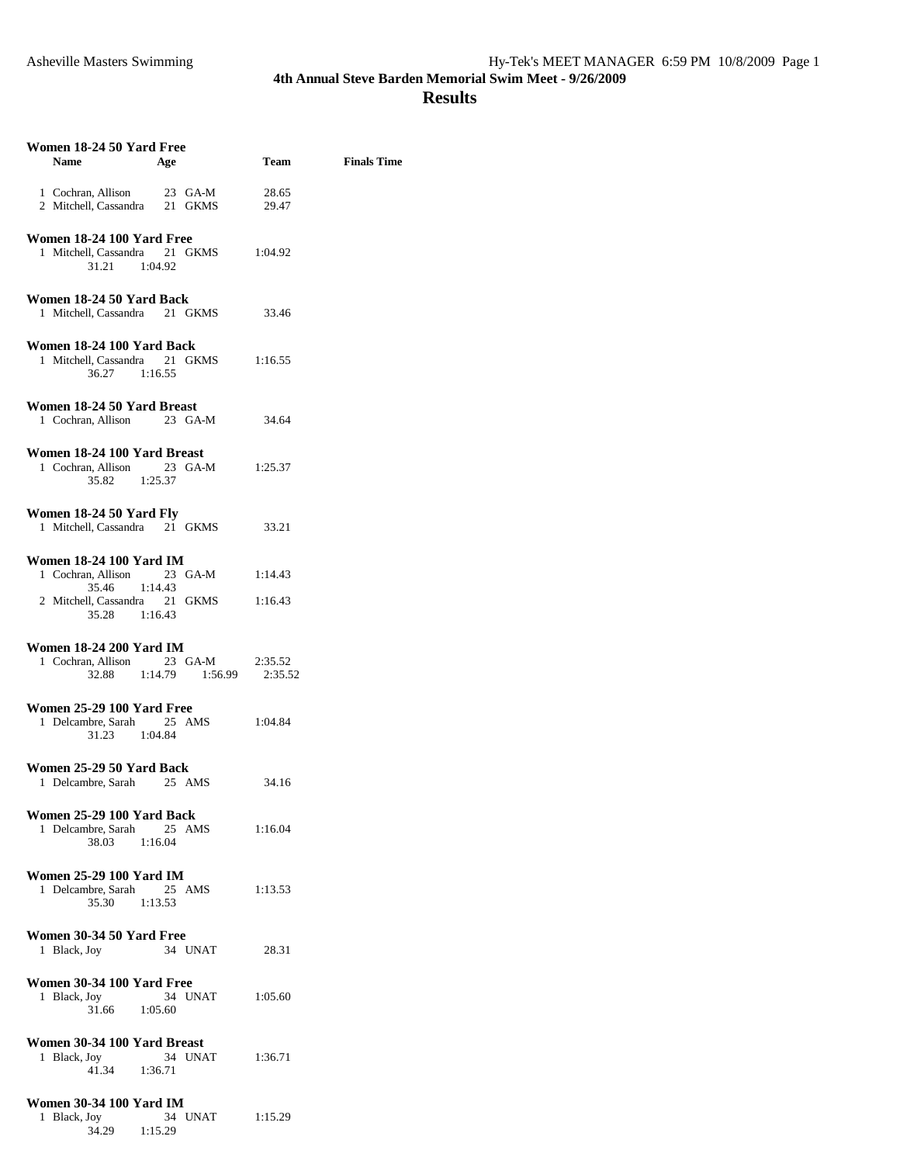| Women 18-24 50 Yard Free<br>Name                                                                                              | Age                                | Team               | <b>Finals Time</b> |
|-------------------------------------------------------------------------------------------------------------------------------|------------------------------------|--------------------|--------------------|
| 1 Cochran, Allison<br>2 Mitchell, Cassandra                                                                                   | 23 GA-M<br>21 GKMS                 | 28.65<br>29.47     |                    |
| Women 18-24 100 Yard Free<br>1 Mitchell, Cassandra 21 GKMS<br>31.21<br>1:04.92                                                |                                    | 1:04.92            |                    |
| Women 18-24 50 Yard Back<br>1 Mitchell, Cassandra 21 GKMS                                                                     |                                    | 33.46              |                    |
| Women 18-24 100 Yard Back<br>1 Mitchell, Cassandra 21 GKMS<br>36.27 1:16.55                                                   |                                    | 1:16.55            |                    |
| Women 18-24 50 Yard Breast<br>1 Cochran, Allison                                                                              | 23 GA-M                            | 34.64              |                    |
| Women 18-24 100 Yard Breast<br>1 Cochran, Allison<br>35.82                                                                    | $23$ GA-M<br>1:25.37               | 1:25.37            |                    |
| Women 18-24 50 Yard Fly<br>1 Mitchell, Cassandra 21 GKMS                                                                      |                                    | 33.21              |                    |
| <b>Women 18-24 100 Yard IM</b><br>1 Cochran, Allison<br>1:14.43<br>35.46<br>2 Mitchell, Cassandra 21 GKMS<br>35.28<br>1:16.43 | 23 GA-M                            | 1:14.43<br>1:16.43 |                    |
| <b>Women 18-24 200 Yard IM</b><br>1 Cochran, Allison                                                                          | $23$ GA-M<br>32.88 1:14.79 1:56.99 | 2:35.52<br>2:35.52 |                    |
| Women 25-29 100 Yard Free<br>1 Delcambre, Sarah 25 AMS<br>31.23 1:04.84                                                       |                                    | 1:04.84            |                    |
| Women 25-29 50 Yard Back<br>1 Delcambre, Sarah                                                                                | 25 AMS                             | 34.16              |                    |
| Women 25-29 100 Yard Back<br>1 Delcambre, Sarah<br>1:16.04<br>38.03                                                           | 25<br>AMS                          | 1:16.04            |                    |
| <b>Women 25-29 100 Yard IM</b><br>1 Delcambre, Sarah<br>35.30<br>1:13.53                                                      | 25 AMS                             | 1:13.53            |                    |
| Women 30-34 50 Yard Free<br>1 Black, Joy                                                                                      | 34 UNAT                            | 28.31              |                    |
| Women 30-34 100 Yard Free<br>1 Black, Joy<br>31.66 1:05.60                                                                    | 34 UNAT                            | 1:05.60            |                    |
| Women 30-34 100 Yard Breast<br>1 Black, Joy<br>41.34                                                                          | 34 UNAT<br>1:36.71                 | 1:36.71            |                    |
| <b>Women 30-34 100 Yard IM</b><br>1 Black, Joy<br>34.29                                                                       | 34 UNAT<br>1:15.29                 | 1:15.29            |                    |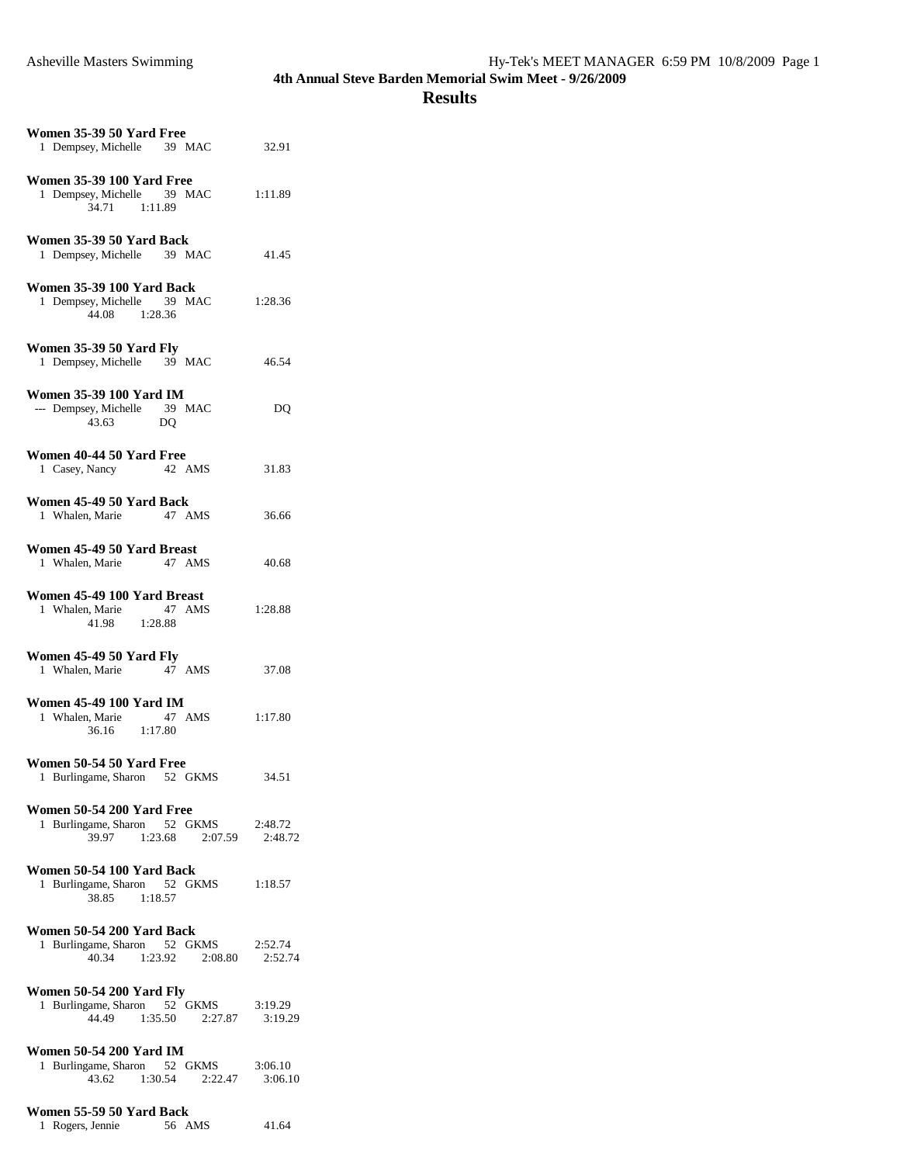| Women 35-39 50 Yard Free<br>1 Dempsey, Michelle 39 MAC                                         | 32.91              |  |
|------------------------------------------------------------------------------------------------|--------------------|--|
| <b>Women 35-39 100 Yard Free</b><br>1 Dempsey, Michelle 39 MAC<br>34.71 1:11.89                | 1:11.89            |  |
| Women 35-39 50 Yard Back<br>1 Dempsey, Michelle 39 MAC                                         | 41.45              |  |
| Women 35-39 100 Yard Back<br>1 Dempsey, Michelle 39 MAC<br>44.08 1:28.36                       | 1:28.36            |  |
| <b>Women 35-39 50 Yard Fly</b><br>1 Dempsey, Michelle 39 MAC                                   | 46.54              |  |
| Women 35-39 100 Yard IM<br>--- Dempsey, Michelle 39 MAC<br>43.63<br>DO                         | DQ                 |  |
| Women 40-44 50 Yard Free<br>1 Casey, Nancy<br>42 AMS                                           | 31.83              |  |
| Women 45-49 50 Yard Back<br>1 Whalen, Marie 47 AMS                                             | 36.66              |  |
| Women 45-49 50 Yard Breast<br>1 Whalen, Marie 47 AMS                                           | 40.68              |  |
| Women 45-49 100 Yard Breast<br>1 Whalen, Marie<br>47 AMS<br>41.98 1:28.88                      | 1:28.88            |  |
| <b>Women 45-49 50 Yard Fly</b><br>1 Whalen, Marie 47 AMS                                       | 37.08              |  |
| <b>Women 45-49 100 Yard IM</b><br>1 Whalen, Marie 47 AMS<br>36.16 1:17.80                      | 1:17.80            |  |
| Women 50-54 50 Yard Free<br>1 Burlingame, Sharon 52 GKMS                                       | 34.51              |  |
| <b>Women 50-54 200 Yard Free</b><br>1 Burlingame, Sharon 52 GKMS<br>39.97 1:23.68<br>2:07.59   | 2:48.72<br>2:48.72 |  |
| Women 50-54 100 Yard Back<br>1 Burlingame, Sharon 52 GKMS<br>38.85<br>1:18.57                  | 1:18.57            |  |
| Women 50-54 200 Yard Back<br>1 Burlingame, Sharon 52 GKMS<br>40.34<br>1:23.92<br>2:08.80       | 2:52.74<br>2:52.74 |  |
| Women 50-54 200 Yard Fly<br>1 Burlingame, Sharon 52 GKMS 3:19.29<br>44.49 1:35.50<br>2:27.87   | 3:19.29            |  |
| <b>Women 50-54 200 Yard IM</b><br>1 Burlingame, Sharon 52 GKMS<br>43.62<br>$1:30.54$ $2:22.47$ | 3:06.10<br>3:06.10 |  |
| Women 55-59 50 Yard Back                                                                       |                    |  |

| 1 Rogers, Jennie | 56 AMS | 41.64 |
|------------------|--------|-------|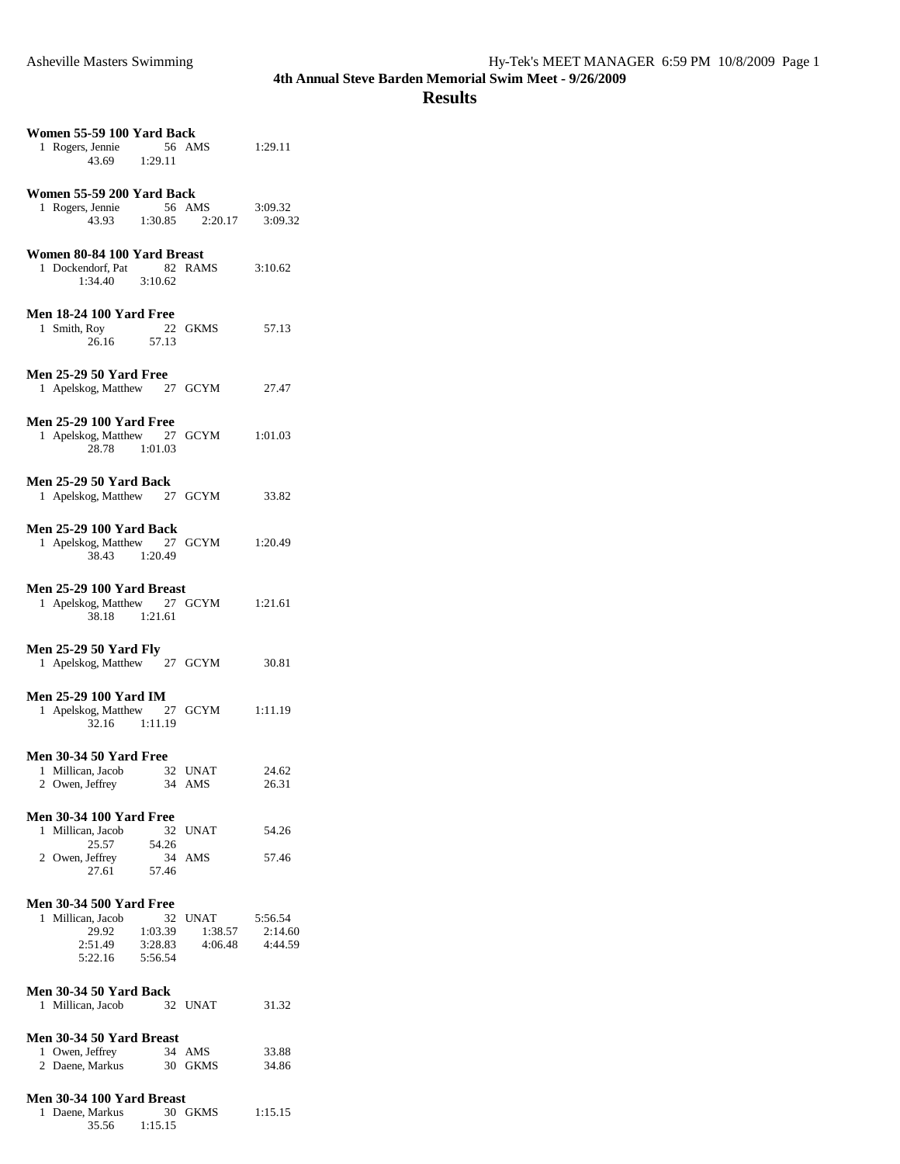| Women 55-59 100 Yard Back<br>1 Rogers, Jennie 56 AMS 1:29.11<br>43.69 1:29.11                 |                                       |                    |
|-----------------------------------------------------------------------------------------------|---------------------------------------|--------------------|
| Women 55-59 200 Yard Back<br>1 Rogers, Jennie 56 AMS 3:09.32<br>43.93 1:30.85 2:20.17 3:09.32 |                                       |                    |
| Women 80-84 100 Yard Breast<br>1 Dockendorf, Pat 82 RAMS<br>1:34.40 3:10.62                   |                                       | 3:10.62            |
| <b>Men 18-24 100 Yard Free</b><br>1 Smith, Roy<br>26.16 27.13                                 | 22 GKMS                               | 57.13              |
| <b>Men 25-29 50 Yard Free</b><br>1 Apelskog, Matthew 27 GCYM                                  |                                       | 27.47              |
| <b>Men 25-29 100 Yard Free</b><br>1 Apelskog, Matthew 27 GCYM 1:01.03<br>28.78 1:01.03        |                                       |                    |
| <b>Men 25-29 50 Yard Back</b><br>1 Apelskog, Matthew 27 GCYM                                  |                                       | 33.82              |
| <b>Men 25-29 100 Yard Back</b><br>1 Apelskog, Matthew 27 GCYM 1:20.49<br>38.43 1:20.49        |                                       |                    |
| Men 25-29 100 Yard Breast<br>1 Apelskog, Matthew 27 GCYM 1:21.61<br>38.18 1:21.61             |                                       |                    |
| <b>Men 25-29 50 Yard Fly</b><br>1 Apelskog, Matthew 27 GCYM 30.81                             |                                       |                    |
| <b>Men 25-29 100 Yard IM</b><br>1 Apelskog, Matthew 27 GCYM 1:11.19<br>32.16 1:11.19          |                                       |                    |
| <b>Men 30-34 50 Yard Free</b><br>1 Millican, Jacob 32 UNAT<br>2 Owen, Jeffrey<br>34           | AMS                                   | 24.62<br>26.31     |
| <b>Men 30-34 100 Yard Free</b><br>1 Millican, Jacob<br>25.57<br>54.26                         | 32 UNAT                               | 54.26              |
| 2 Owen, Jeffrey<br>27.61<br>57.46<br><b>Men 30-34 500 Yard Free</b>                           | 34 AMS                                | 57.46              |
| 1 Millican, Jacob<br>29.92<br>1:03.39<br>2:51.49<br>3:28.83<br>5:22.16<br>5:56.54             | 32 UNAT 5:56.54<br>1:38.57<br>4:06.48 | 2:14.60<br>4:44.59 |
| <b>Men 30-34 50 Yard Back</b><br>1 Millican, Jacob                                            | 32 UNAT                               | 31.32              |
| Men 30-34 50 Yard Breast<br>1 Owen, Jeffrey<br>2 Daene, Markus                                | 34 AMS<br>30 GKMS                     | 33.88<br>34.86     |
| Men 30-34 100 Yard Breast<br>1 Daene, Markus<br>35.56<br>1:15.15                              | 30 GKMS                               | 1:15.15            |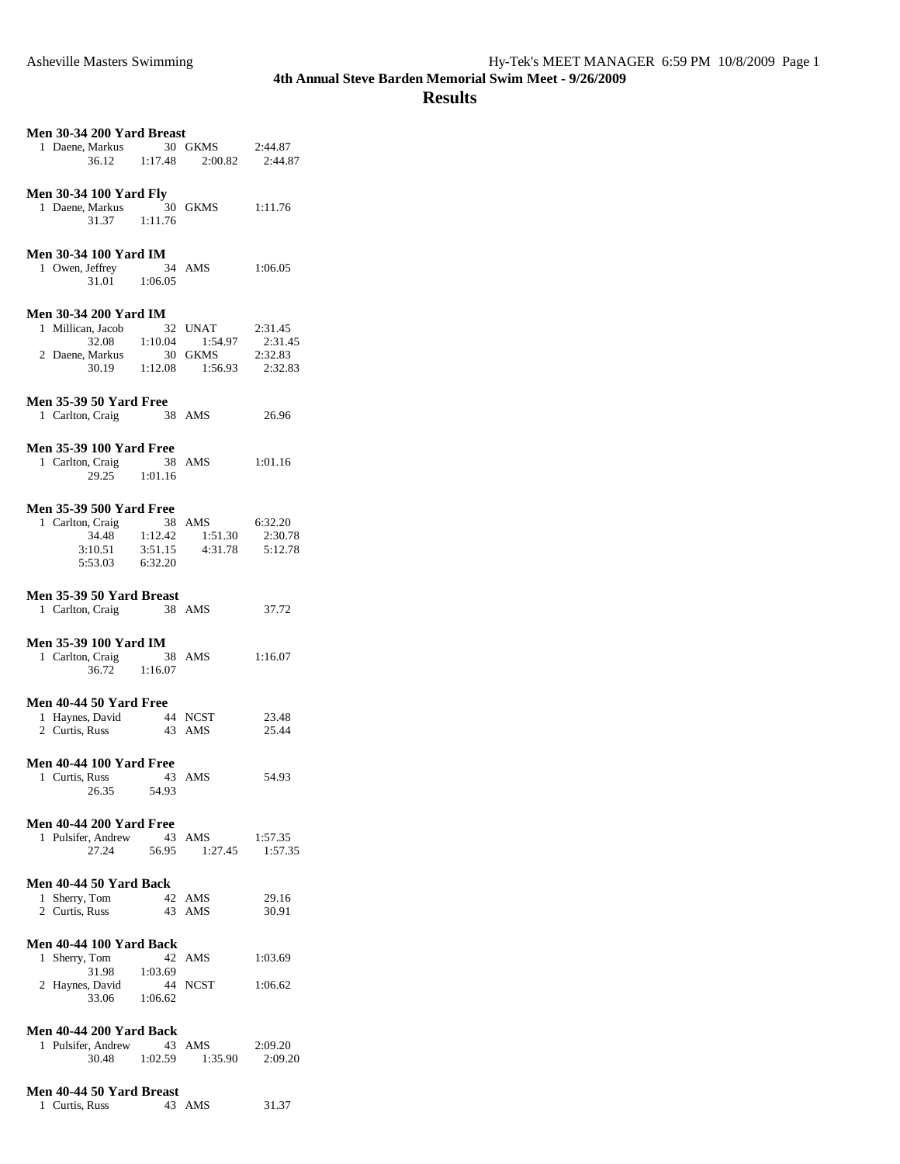| Men 30-34 200 Yard Breast<br>1 Daene, Markus<br>36.12                                                                | 30 GKMS 2:44.87<br>1:17.48 2:00.82 2:44.87 |                                          |
|----------------------------------------------------------------------------------------------------------------------|--------------------------------------------|------------------------------------------|
|                                                                                                                      |                                            |                                          |
| <b>Men 30-34 100 Yard Fly</b><br>1 Daene, Markus<br>31.37<br>1:11.76                                                 | 30 GKMS                                    | 1:11.76                                  |
| <b>Men 30-34 100 Yard IM</b><br>1 Owen, Jeffrey<br>34 AMS<br>$31.01 \qquad 1:06.05$                                  |                                            | 1:06.05                                  |
| <b>Men 30-34 200 Yard IM</b><br>1 Millican, Jacob<br>32<br>$32.08$ 1:10.04<br>2 Daene, Markus<br>30<br>30.19 1:12.08 | UNAT<br>1:54.97<br>GKMS<br>1:56.93         | 2:31.45<br>2:31.45<br>2:32.83<br>2:32.83 |
| <b>Men 35-39 50 Yard Free</b><br>1 Carlton, Craig                                                                    | 38 AMS                                     | 26.96                                    |
| <b>Men 35-39 100 Yard Free</b><br>1 Carlton, Craig<br>29.25 1:01.16                                                  | 38 AMS                                     | 1:01.16                                  |
| <b>Men 35-39 500 Yard Free</b><br>1 Carlton, Craig 38<br>34.48 1:12.42<br>3:10.51<br>6:32.20<br>5:53.03              | 38 AMS<br>1:51.30<br>$3:51.15$ $4:31.78$   | 6:32.20<br>2:30.78<br>5:12.78            |
| Men 35-39 50 Yard Breast<br>1 Carlton, Craig<br>38 AMS                                                               |                                            | 37.72                                    |
| <b>Men 35-39 100 Yard IM</b><br>1 Carlton, Craig<br>36.72 1:16.07                                                    | 38 AMS                                     | 1:16.07                                  |
| Men 40-44 50 Yard Free<br>1 Haynes, David<br>2 Curtis, Russ                                                          | 44 NCST<br>43 AMS                          | 23.48<br>25.44                           |
| <b>Men 40-44 100 Yard Free</b><br>1 Curtis, Russ<br>26.35<br>54.93                                                   | 43 AMS                                     | 54.93                                    |
| <b>Men 40-44 200 Yard Free</b><br>1 Pulsifer, Andrew<br>27.24<br>56.95                                               | 43 AMS<br>1:27.45                          | 1:57.35<br>1:57.35                       |
| Men 40-44 50 Yard Back<br>1 Sherry, Tom<br>2 Curtis, Russ                                                            | 42 AMS<br>43 AMS                           | 29.16<br>30.91                           |
| <b>Men 40-44 100 Yard Back</b><br>1 Sherry, Tom<br>31.98<br>1:03.69<br>2 Haynes, David                               | 42 AMS<br>44 NCST                          | 1:03.69<br>1:06.62                       |
| 1:06.62<br>33.06<br><b>Men 40-44 200 Yard Back</b><br>1 Pulsifer, Andrew<br>30.48<br>1:02.59                         | 43 AMS<br>1:35.90                          | 2:09.20<br>2:09.20                       |
| Men 40-44 50 Yard Breast                                                                                             |                                            |                                          |

| $\cdots$       |        |       |
|----------------|--------|-------|
| 1 Curtis, Russ | 43 AMS | 31.37 |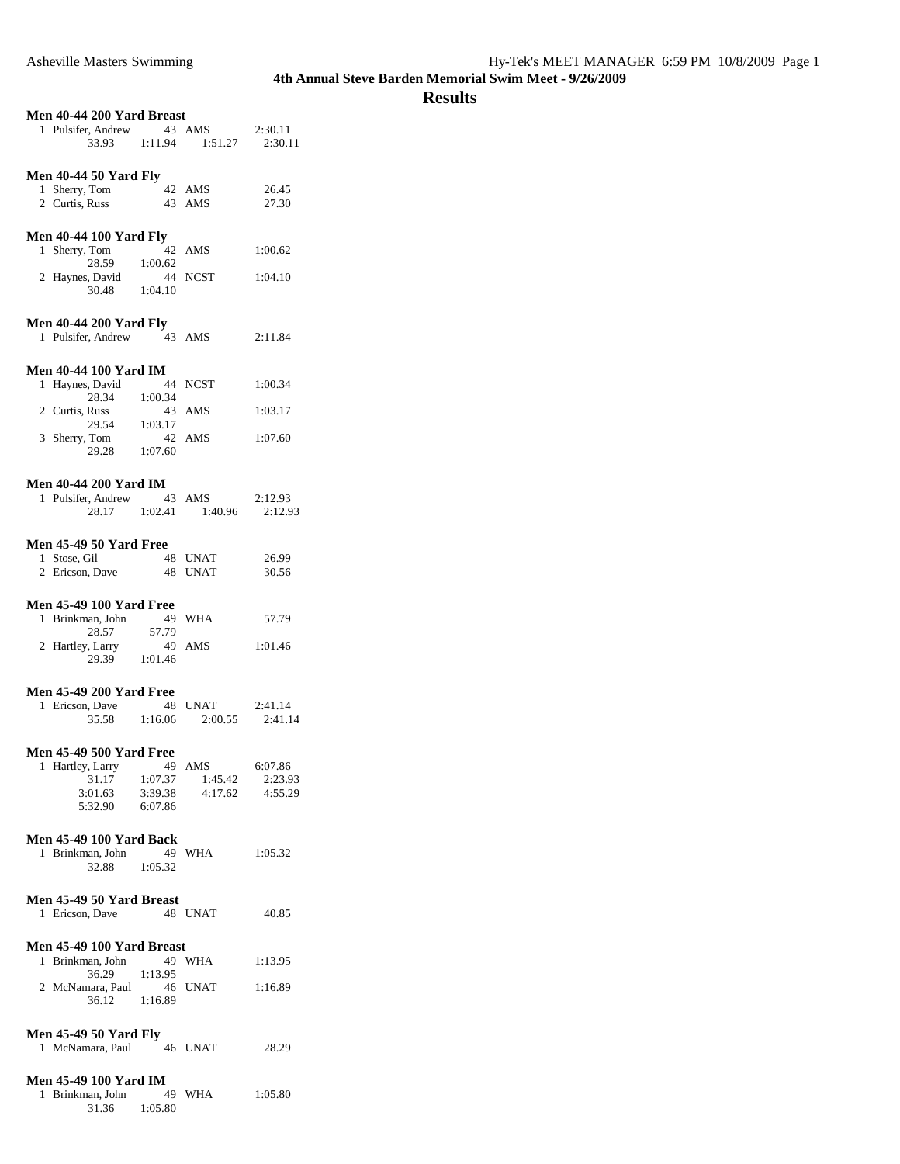| Men 40-44 200 Yard Breast                          |               |                     |                |  |
|----------------------------------------------------|---------------|---------------------|----------------|--|
| 1 Pulsifer, Andrew                                 |               | 43 AMS              | 2:30.11        |  |
| 33.93                                              | 1:11.94       | 1:51.27             | 2:30.11        |  |
|                                                    |               |                     |                |  |
| <b>Men 40-44 50 Yard Fly</b>                       |               |                     |                |  |
| 1 Sherry, Tom                                      | 42            | AMS                 | 26.45          |  |
| 2 Curtis, Russ                                     |               | 43 AMS              | 27.30          |  |
|                                                    |               |                     |                |  |
| <b>Men 40-44 100 Yard Fly</b>                      |               |                     |                |  |
| 1 Sherry, Tom<br>28.59                             | 42            | AMS                 | 1:00.62        |  |
| 2 Haynes, David                                    | 1:00.62       | 44 NCST             | 1:04.10        |  |
| 30.48                                              | 1:04.10       |                     |                |  |
|                                                    |               |                     |                |  |
| <b>Men 40-44 200 Yard Fly</b>                      |               |                     |                |  |
| 1 Pulsifer, Andrew                                 |               | 43 AMS              | 2:11.84        |  |
|                                                    |               |                     |                |  |
| <b>Men 40-44 100 Yard IM</b>                       |               |                     |                |  |
| 1 Haynes, David                                    |               | 44 NCST             | 1:00.34        |  |
| 28.34<br>2 Curtis, Russ                            | 1:00.34       |                     |                |  |
| 29.54                                              | 43<br>1:03.17 | AMS                 | 1:03.17        |  |
| 3 Sherry, Tom                                      |               | 42 AMS              | 1:07.60        |  |
| 29.28                                              | 1:07.60       |                     |                |  |
|                                                    |               |                     |                |  |
| <b>Men 40-44 200 Yard IM</b>                       |               |                     |                |  |
| 1 Pulsifer, Andrew                                 | 43 AMS        |                     | 2:12.93        |  |
| 28.17                                              | 1:02.41       | 1:40.96             | 2:12.93        |  |
|                                                    |               |                     |                |  |
| <b>Men 45-49 50 Yard Free</b>                      |               |                     |                |  |
| 1 Stose, Gil<br>2 Ericson, Dave                    |               | 48 UNAT<br>48 UNAT  | 26.99<br>30.56 |  |
|                                                    |               |                     |                |  |
| <b>Men 45-49 100 Yard Free</b>                     |               |                     |                |  |
| 1 Brinkman, John                                   | 49            | WHA                 | 57.79          |  |
| 28.57                                              | 57.79         |                     |                |  |
| 2 Hartley, Larry                                   | - 49          | AMS                 | 1:01.46        |  |
| 29.39                                              | 1:01.46       |                     |                |  |
|                                                    |               |                     |                |  |
| <b>Men 45-49 200 Yard Free</b><br>1 Ericson, Dave  | 48            | UNAT                | 2:41.14        |  |
| 35.58                                              | 1:16.06       | 2:00.55             | 2:41.14        |  |
|                                                    |               |                     |                |  |
| <b>Men 45-49 500 Yard Free</b>                     |               |                     |                |  |
| 1<br>Hartley, Larry                                | 49            | AMS                 | 6:07.86        |  |
| 31.17                                              | 1:07.37       | 1:45.42             | 2:23.93        |  |
| 3:01.63                                            |               | $3:39.38$ $4:17.62$ | 4:55.29        |  |
| 5:32.90                                            | 6:07.86       |                     |                |  |
|                                                    |               |                     |                |  |
| <b>Men 45-49 100 Yard Back</b><br>1 Brinkman, John |               | 49 WHA              | 1:05.32        |  |
| 32.88                                              | 1:05.32       |                     |                |  |
|                                                    |               |                     |                |  |
| Men 45-49 50 Yard Breast                           |               |                     |                |  |
| 1 Ericson, Dave                                    |               | 48 UNAT             | 40.85          |  |
|                                                    |               |                     |                |  |
| Men 45-49 100 Yard Breast                          |               |                     |                |  |
| Brinkman, John<br>1.                               | 49            | WHA                 | 1:13.95        |  |
| 36.29                                              | 1:13.95<br>46 |                     |                |  |
| 2 McNamara, Paul<br>36.12                          | 1:16.89       | UNAT                | 1:16.89        |  |
|                                                    |               |                     |                |  |
| <b>Men 45-49 50 Yard Fly</b>                       |               |                     |                |  |
| 1 McNamara, Paul                                   |               | 46 UNAT             | 28.29          |  |
|                                                    |               |                     |                |  |
| <b>Men 45-49 100 Yard IM</b>                       |               |                     |                |  |
| 1 Brinkman, John                                   | 49            | WHA                 | 1:05.80        |  |
| 31.36                                              | 1:05.80       |                     |                |  |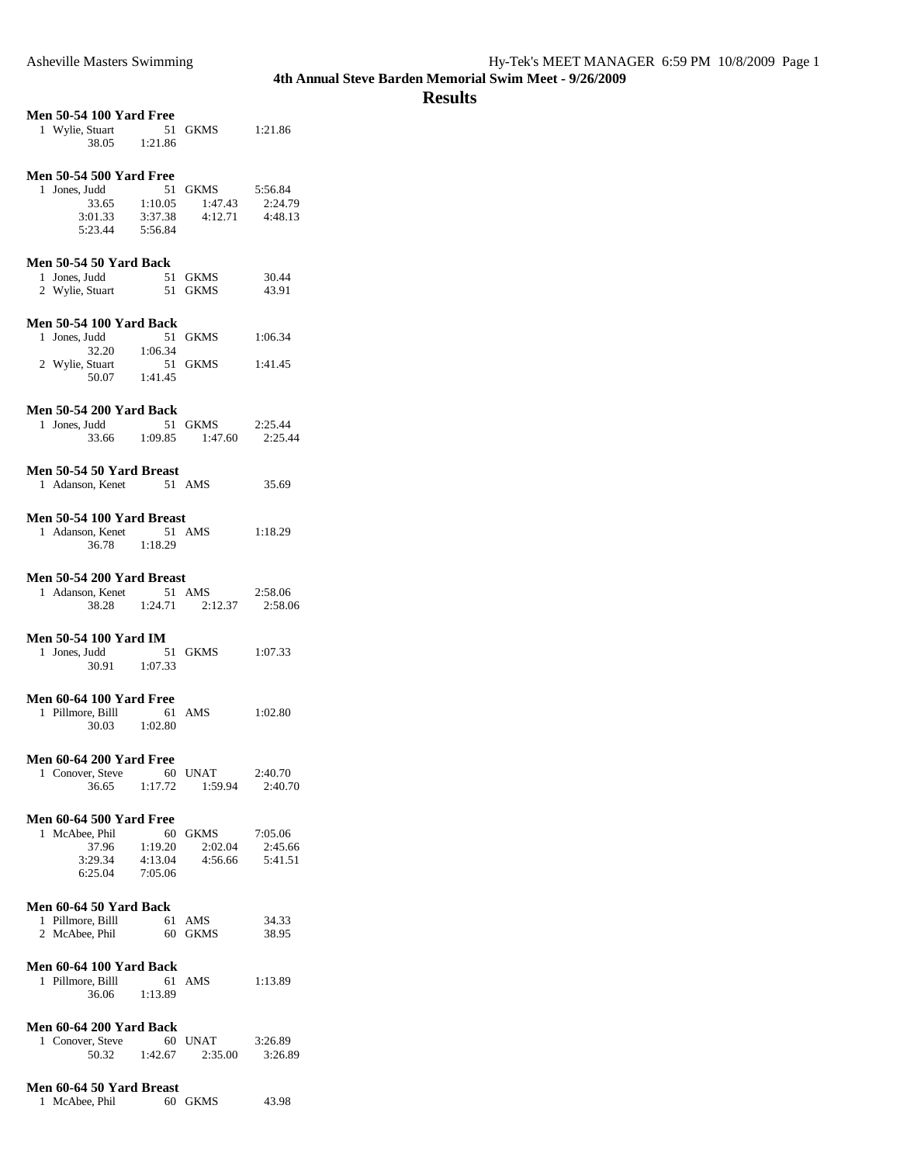|                                              | <b>Men 50-54 100 Yard Free</b> |                 |                    |
|----------------------------------------------|--------------------------------|-----------------|--------------------|
| 1 Wylie, Stuart 51<br>38.05 1:21.86          |                                | GKMS            | 1:21.86            |
| <b>Men 50-54 500 Yard Free</b>               |                                |                 |                    |
| 1 Jones, Judd                                |                                | 51 GKMS 5:56.84 |                    |
| 33.65 1:10.05                                |                                | 1:47.43         | 2:24.79            |
| 3:01.33                                      | 3:37.38                        | 4:12.71         | 4:48.13            |
| 5:23.44                                      | 5:56.84                        |                 |                    |
|                                              |                                |                 |                    |
| <b>Men 50-54 50 Yard Back</b>                |                                |                 |                    |
| 1 Jones, Judd                                | 51                             | <b>GKMS</b>     | 30.44              |
| 2 Wylie, Stuart                              |                                | 51 GKMS         | 43.91              |
|                                              |                                |                 |                    |
| <b>Men 50-54 100 Yard Back</b>               |                                |                 |                    |
| 1 Jones, Judd                                |                                | 51 GKMS         | 1:06.34            |
| $32.20$ 1:06.34                              |                                |                 |                    |
| 2 Wylie, Stuart                              |                                | 51 GKMS         | 1:41.45            |
| 50.07                                        | 1:41.45                        |                 |                    |
|                                              |                                |                 |                    |
| <b>Men 50-54 200 Yard Back</b>               |                                |                 |                    |
| 1 Jones, Judd                                |                                | 51 GKMS         | 2:25.44            |
| 33.66 1:09.85                                |                                | 1:47.60         | 2:25.44            |
|                                              |                                |                 |                    |
|                                              |                                |                 |                    |
| Men 50-54 50 Yard Breast<br>1 Adanson, Kenet |                                | 51 AMS          | 35.69              |
|                                              |                                |                 |                    |
|                                              |                                |                 |                    |
| Men 50-54 100 Yard Breast                    |                                |                 |                    |
| 1 Adanson, Kenet                             | 51 AMS                         |                 | 1:18.29            |
| 36.78                                        | 1:18.29                        |                 |                    |
|                                              |                                |                 |                    |
| Men 50-54 200 Yard Breast                    |                                |                 |                    |
| 1 Adanson, Kenet                             |                                | 51 AMS          | 2:58.06            |
| 38.28 1:24.71                                |                                | 2:12.37         | 2:58.06            |
|                                              |                                |                 |                    |
| <b>Men 50-54 100 Yard IM</b>                 |                                |                 |                    |
|                                              |                                |                 |                    |
| 1 Jones, Judd                                |                                | 51 GKMS         | 1:07.33            |
| 30.91 1:07.33                                |                                |                 |                    |
|                                              |                                |                 |                    |
| <b>Men 60-64 100 Yard Free</b>               |                                |                 |                    |
| 1 Pillmore, Billl                            |                                | 61 AMS          | 1:02.80            |
| 30.03 1:02.80                                |                                |                 |                    |
|                                              |                                |                 |                    |
|                                              |                                |                 |                    |
| <b>Men 60-64 200 Yard Free</b>               |                                |                 |                    |
| 1 Conover, Steve<br>36.65                    | 1:17.72                        | 60 UNAT         | 2:40.70<br>2:40.70 |
|                                              |                                | 1:59.94         |                    |
|                                              |                                |                 |                    |
| <b>Men 60-64 500 Yard Free</b>               |                                |                 |                    |
| 1 McAbee, Phil                               | 60                             | <b>GKMS</b>     | 7:05.06            |
| 37.96                                        | 1:19.20                        | 2:02.04         | 2:45.66            |
| 3:29.34                                      | 4:13.04                        | 4:56.66         | 5:41.51            |
| 6:25.04                                      | 7:05.06                        |                 |                    |
|                                              |                                |                 |                    |
| <b>Men 60-64 50 Yard Back</b>                |                                |                 |                    |
| 1 Pillmore, Billl                            | 61                             | AMS             | 34.33              |
| 2 McAbee, Phil                               |                                | 60 GKMS         | 38.95              |
|                                              |                                |                 |                    |
| Men 60-64 100 Yard Back                      |                                |                 |                    |
| 1 Pillmore, Billl                            |                                | 61 AMS          | 1:13.89            |
| 36.06                                        | 1:13.89                        |                 |                    |
|                                              |                                |                 |                    |
| <b>Men 60-64 200 Yard Back</b>               |                                |                 |                    |
| 1 Conover, Steve                             | 60                             | UNAT            | 3:26.89            |
| 50.32                                        | 1:42.67                        | 2:35.00         | 3:26.89            |
| Men 60-64 50 Yard Breast                     |                                |                 |                    |

| 1 McAbee, Phil | 60 GKMS | 43.98 |
|----------------|---------|-------|
|                |         |       |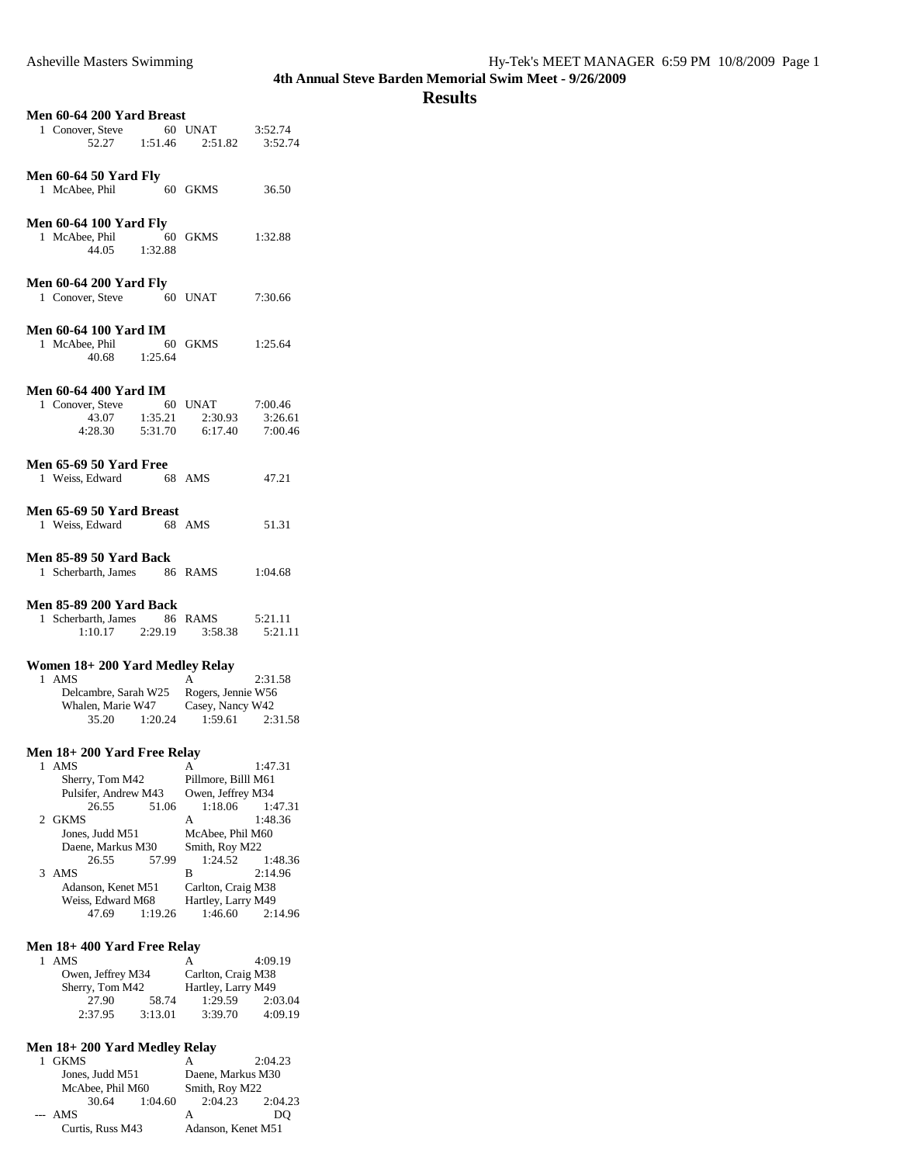#### **Results**

| Men 60-64 200 Yard Breast                         |                                    |                    |  |
|---------------------------------------------------|------------------------------------|--------------------|--|
| 1 Conover, Steve 60 UNAT<br>52.27 1:51.46 2:51.82 |                                    | 3:52.74            |  |
|                                                   |                                    | 3:52.74            |  |
|                                                   |                                    |                    |  |
| <b>Men 60-64 50 Yard Fly</b>                      |                                    |                    |  |
| 1 McAbee, Phil                                    | 60 GKMS                            | 36.50              |  |
|                                                   |                                    |                    |  |
| <b>Men 60-64 100 Yard Fly</b>                     |                                    |                    |  |
| 1 McAbee, Phil 60 GKMS<br>44.05 1:32.88           |                                    | 1:32.88            |  |
|                                                   |                                    |                    |  |
| <b>Men 60-64 200 Yard Fly</b>                     |                                    |                    |  |
| 1 Conover, Steve 60 UNAT                          |                                    | 7:30.66            |  |
|                                                   |                                    |                    |  |
| <b>Men 60-64 100 Yard IM</b>                      |                                    |                    |  |
| 1 McAbee, Phil 60 GKMS                            |                                    | 1:25.64            |  |
| 40.68 1:25.64                                     |                                    |                    |  |
|                                                   |                                    |                    |  |
| <b>Men 60-64 400 Yard IM</b>                      |                                    |                    |  |
| 1 Conover, Steve 60 UNAT<br>43.07 1:35.21 2:30.93 | 2:30.93                            | 7:00.46            |  |
| 4:28.30<br>5:31.70                                | 6:17.40                            | 3:26.61<br>7:00.46 |  |
|                                                   |                                    |                    |  |
| <b>Men 65-69 50 Yard Free</b>                     |                                    |                    |  |
| 1 Weiss, Edward 68 AMS                            |                                    | 47.21              |  |
|                                                   |                                    |                    |  |
| Men 65-69 50 Yard Breast                          |                                    |                    |  |
| 1 Weiss, Edward<br>68 AMS                         |                                    | 51.31              |  |
|                                                   |                                    |                    |  |
| Men 85-89 50 Yard Back                            |                                    |                    |  |
| 1 Scherbarth, James 86 RAMS                       |                                    | 1:04.68            |  |
|                                                   |                                    |                    |  |
| <b>Men 85-89 200 Yard Back</b>                    |                                    |                    |  |
| 1 Scherbarth, James 86 RAMS                       |                                    | 5:21.11            |  |
| $1:10.17$ $2:29.19$ $3:58.38$                     |                                    | 5:21.11            |  |
|                                                   |                                    |                    |  |
| Women 18+200 Yard Medley Relay<br>1 AMS           | A                                  |                    |  |
| Delcambre, Sarah W25                              | Rogers, Jennie W56                 | 2:31.58            |  |
| Whalen, Marie W47 Casey, Nancy W42                |                                    |                    |  |
| 35.20 1:20.24 1:59.61                             |                                    | 2:31.58            |  |
|                                                   |                                    |                    |  |
| Men 18+200 Yard Free Relay                        |                                    |                    |  |
| 1 AMS                                             | А                                  | 1:47.31            |  |
| Sherry, Tom M42                                   | Pillmore, Billl M61                |                    |  |
| Pulsifer, Andrew M43                              | Owen, Jeffrey M34                  |                    |  |
| 26.55<br>51.06                                    | 1:18.06                            | 1:47.31            |  |
| 2 GKMS                                            | А                                  | 1:48.36            |  |
| Jones, Judd M51<br>Daene, Markus M30              | McAbee, Phil M60<br>Smith, Roy M22 |                    |  |
| 26.55<br>57.99                                    | 1:24.52                            | 1:48.36            |  |
| 3<br>AMS                                          | В                                  | 2:14.96            |  |
| Adanson, Kenet M51                                | Carlton, Craig M38                 |                    |  |
| Weiss, Edward M68                                 | Hartley, Larry M49                 |                    |  |
| 47.69<br>1:19.26                                  | 1:46.60                            | 2:14.96            |  |
|                                                   |                                    |                    |  |
| Men 18+400 Yard Free Relay                        |                                    |                    |  |
| 1<br>AMS<br>Owen. Jeffrey M34                     | А<br>Carlton, Craig M38            | 4:09.19            |  |
|                                                   |                                    |                    |  |

|                 | Owen, Jeffrey M34 |                    | Carlton, Craig M38 |         |
|-----------------|-------------------|--------------------|--------------------|---------|
| Sherry, Tom M42 |                   | Hartley, Larry M49 |                    |         |
|                 | 27.90             | 58.74              | 1:29.59            | 2:03.04 |
|                 | 2:37.95           | 3:13.01            | 3:39.70            | 4:09.19 |

#### **Men 18+ 200 Yard Medley Relay**

| <b>GKMS</b>      |         | А                  | 2:04.23 |
|------------------|---------|--------------------|---------|
| Jones, Judd M51  |         | Daene, Markus M30  |         |
| McAbee, Phil M60 |         | Smith, Roy M22     |         |
| 30.64            | 1:04.60 | 2:04.23            | 2:04.23 |
| $- AMS$          |         | A                  | DO      |
| Curtis, Russ M43 |         | Adanson, Kenet M51 |         |